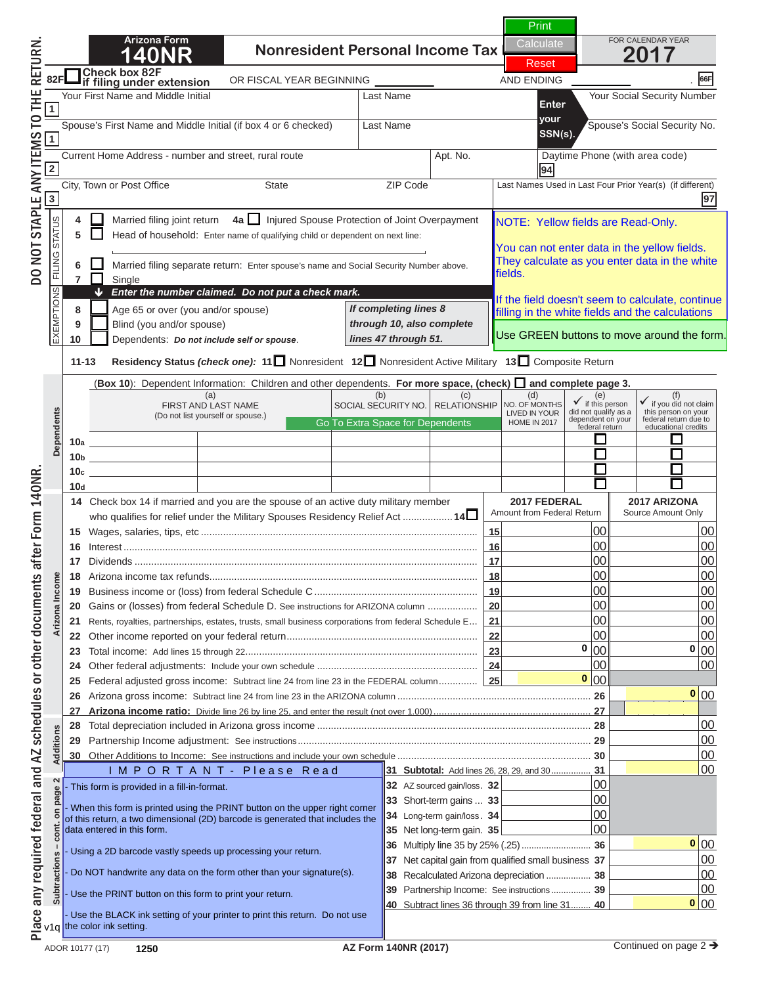# **N O T I C E**

**If you are viewing this message,**  $\blacksquare$ Spouse's First Name and Middle Initial (if box 4 or 6 checked) Last Name Spouse's Social Security No. **your** Current Home Address - number and street, rural route Apt. No. Daytime Phone (with area code) **SSN(s). this is NOT a complete return.** 

 $\mathbf{y}$  Married Spouse Protection **4**  $\mathbf{r}$   $\mathbf{a}$   $\mathbf{b}$   $\mathbf{c}$   $\mathbf{d}$   $\mathbf{a}$   $\mathbf{b}$   $\mathbf{c}$   $\mathbf{d}$   $\mathbf{d}$   $\mathbf{d}$   $\mathbf{d}$   $\mathbf{e}$   $\mathbf{d}$ ,  $\mathbf{e}$ ,  $\mathbf{d}$ ,  $\mathbf{e}$ ,  $\mathbf{d}$ ,  $\mathbf{e}$ ,  $\mathbf{d}$ ,  $\mathbf{e}$ ,  $\mathbf{d}$ ,  $\mathbf{e}$ ,  $\mathbf$ To print a completed return:

**Boouirod Field 9** Blind (you and/or spouse) **10** Dependents: *Do not include self or spouse*. **11-13 Residency Status** *(check one):* **<sup>11</sup>** Nonresident **12** Nonresident Active Military **13** Composite Return *Required Fields are* All required fields must be filled in. *If completing lines 8 through 10, also complete*  around the data field). **By A "Dad Dav"**  $T_{\rm eff}$  calculate as you enter data in the white  $\alpha$ hilling "Red Rox" **(Required Fields are indicated by a "Red Box"** 

the Green PRINT Button local  $\ddot{}$  ed a ck on the Green PRINT Button located at the t **10bbs 10bbs 10bbs 10bbs 10bbs 10bbs 10bbs 10bbs 10bbs 10bbs 10bbs 10bbs 10bbs 10bbs 10bbs 10bbs 10bbs 10bbs 10bbs 10bbs 10bbs 10bbs 10bbs 10bbs 10bbs 10bbs 10bbs 10bbs 10bbs 10bbs 10bbs 10bbs 10bbs 10bbs 10bbs 10bbs 10bbs 10c**  $\alpha$  **of page 1.**  $\alpha$ **Dependents** Place any required federal and AZ schedules or other documents after Form 140NR. DO NOT STAPLE ANY ITEMS TO THE RETURN. **Click on the Green PRINT Button located at the top** 

TE. Olielche Ube DDINT butter will reaffered the Military Sponsors **Amount from Federal Religions NOTE: Clicking the PRINT button will perform the 16** Interest ................................................................................................................................ **16** 00 00 **17** Dividends and **calculations and** *calculations* and **18** Arizona income tax refunds................................................................................................. **18** 00 00 **19 Business income of the from federal Schedule C ............................. 20 Gains of ARIZON EXERCUPTER SCHEDULE DETAIlS FOR ARRIZON EXERCICITE SCHEDULE DETAIls FOR AREA COLUMN 2006.** 

**23** Total income: Add lines 15 through 22 .................................................................................... **23** 00 00 **24** Other federal adjustments: Include your own schedule .......................................................... **24** 00 00 **N O T I C E25** Federal adjusted gross income: Subtract line 24 from line 23 in the FEDERAL column .............. **25** 00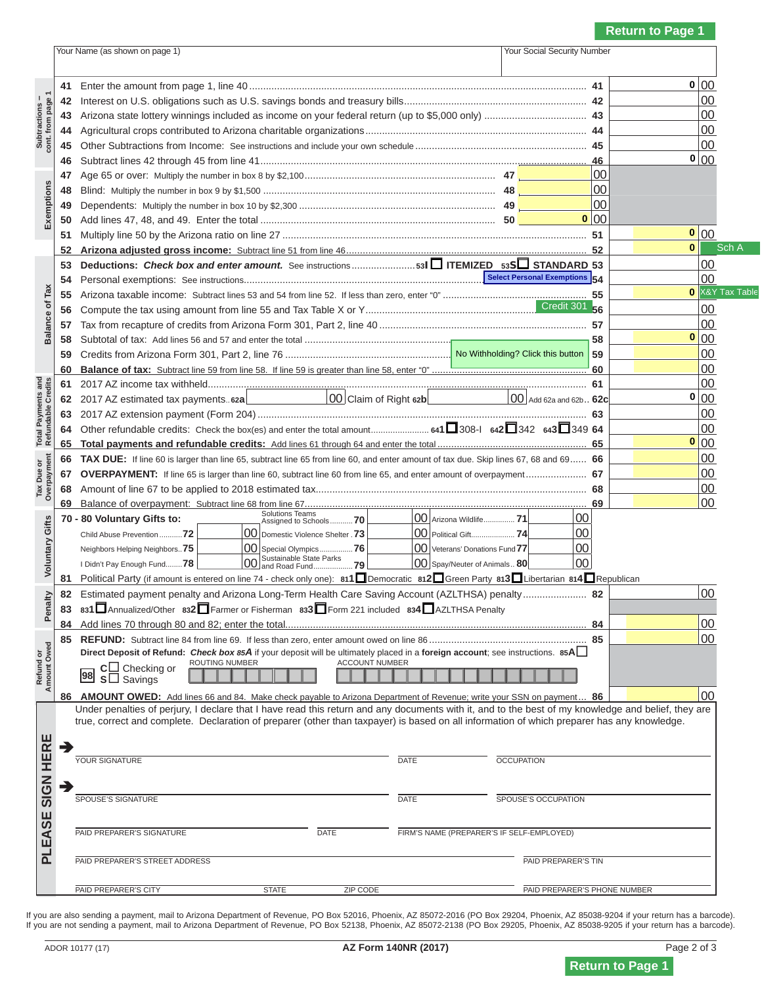## **N O T I C E**

 **41** Enter the amount from page 1, line 40 .......................................................................................................................... **41** 00 It vou are viewing this message If you are viewing this message,  $\blacksquare$  4 Aigricultural complete to Arizona charitable organizations ............. **this is NOT a complete return.** 

 **48** Blind: Multiply the number in box 9 by \$1,500 .................................................................................... **48** 00  $\blacksquare$  To print a completed return: **To print a completed return:** 

**53 Deductions:** *Check box and enter amount.* See instructions ....................... **<sup>53</sup><sup>I</sup> ITEMIZED 53<sup>S</sup> STANDARD 53** 00  **54** Personal exemptions: See instructions............................................................................................................................ **54** 00  **55** Arizona taxable income: Subtract lines 53 and 54 from line 52. If less than zero, enter "0" .................................................... **55** 00  **56** Compute the tax using amount from line 55 and Tax Table X or Y ................................................................................ **56** 00  **57** Tax from recapture of credits from Arizona Form 301, Part 2, line 40 ........................................................................... **57** 00 **58**  $\alpha$  **58**  $\alpha$  **58 a** the total **f** is let **t** around the data field). **60 Balance of tax:** Subtract line 59 from line 58. If line 59 is greater than line 58, enter "0" ........................................................ **60** 00 All required fields must be filled in. **(Required Fields are indicated by a "Red Box"** 

**Total Payments and Refundable Credits**  $\mathsf{I}$  an the Creen DDINIT Dutten leasted at the t **Click on the Green PRINT Button located at the top 65 Total payments and refundable credits:** Add lines 61 through 64 and enter the total ...................................................... **65** 00  **66 TAX DUE:** If line 60 is larger than line 65, subtract line 65 from line 60, and enter amount of tax due. Skip lines 67, 68 and 69 ...... **66** 00 **of page 1. 67 OVERPAYMENT:** If line 65 is larger than line 60, subtract line 60 from line 65, and enter amount of overpayment ...................... **67** 00

 **Amount Owed Voluntary Gifts ATE**, Cliebing the DDINIT button will n **NOTE: Clicking the PRINT button will perform the** Neighbors Helping Neighbors..**75** 00 Special Olympics ................**76** 00 Veterans' Donations Fund **77** 00 I Didn't Pay Enough Fund........**<sup>78</sup>** 00 Sustainable State Parks and Road Fund ...................**79** 00 Spay/Neuter of Animals .. **80** 00 **calculations and <sup>81</sup>** Political Party (if amount is entered on line 74 - check only one): **811**Democratic **<sup>812</sup>**Green Party **<sup>813</sup>**Libertarian **<sup>814</sup>**Republican  **82** Estimated payment penalty and Arizona Long-Term Health Care Saving Account (AZLTHSA) penalty ....................... **82** 00 **831Annualized included barcode.** 

**N O T I C E** 

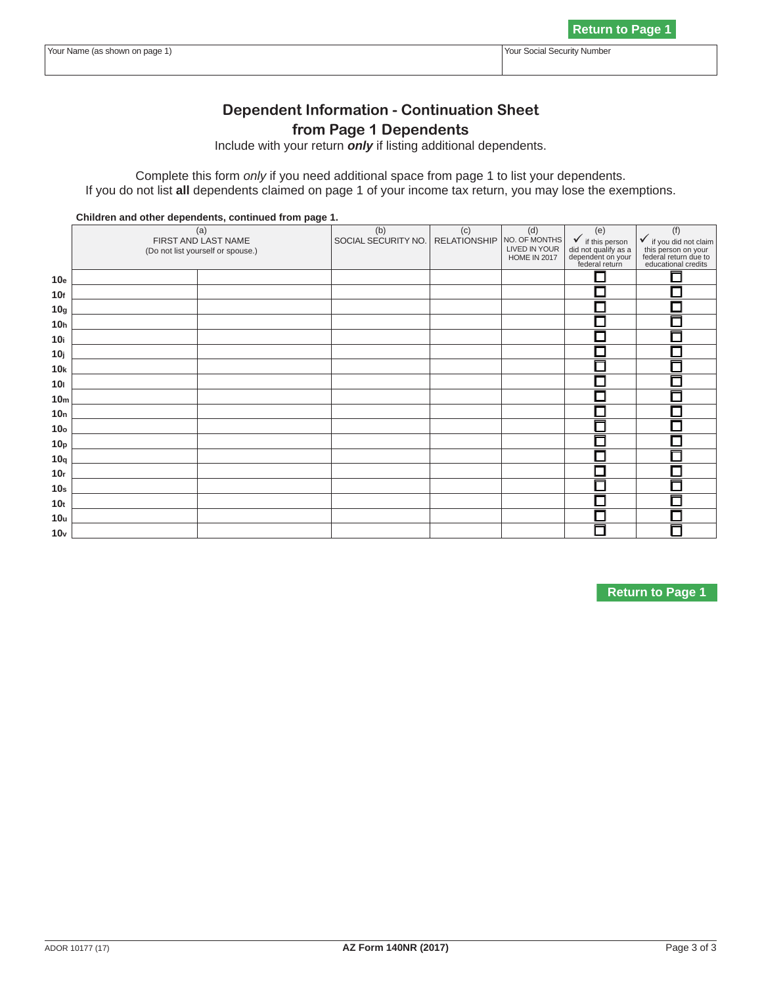# **NOTICE**

**Dependent Information - Continuation Sheet If you are viewing this message,** Include with your return *only* if listing additional dependents. this is NOT a complete return.

**Children and other dependents, continued from page 1.**  (a) FIRST AND LAST NAME  $\blacksquare$  $\sim$   $\sim$   $\sim$   $\sim$   $\sim$   $\sim$  $\overline{\mathbf{c}}$ RELATIONSHIP **To print a completed return:** 

All roquired fields must he filled in **10g All required fields must be filled in. 10h I Required Fields are indicated by a "Red Boost" 10j (Required Fields are indicated by a "Red Box" 10kbarry 10kbarry 20kbarry 20kbarry 20kbarry 20kbarry 20kbarry 20kbarry 20kbarry 20kbarry 20kbarry 20kbarry 20 designal in the data field).** The around the data field).

**10o** lick on the Green PRINT Button located at th **Click on the Green PRINT Button located at the top 10r**  $\alpha$  **10r**  $\alpha$  **10r**  $\alpha$  **10r**  $\alpha$  **10r**  $\alpha$  **10r**  $\alpha$  **10r**  $\alpha$  **10r**  $\alpha$  **10r**  $\alpha$  **10r**  $\alpha$  **10r**  $\alpha$  **10r**  $\alpha$  **10r**  $\alpha$  **10r**  $\alpha$  **10r**  $\alpha$  **10r**  $\alpha$  **10r**  $\alpha$  **10r**  $\alpha$  **10r**  $\alpha$  **10r**  $\alpha$  **1 10s 1. 1. 1. 1. 1. 1. 1. 1. 1. 1. 1. 1. 1. 1. 1. 1. 1. 1. 1. 1. 1. 1. 1. 1. 1. 1. 1. 1. 1. 1. 1. 1. 1. 1. 1. 1. 10th Street, Street, Street, Street, Street, Street, Street, Street, Street, Street, Street, Street, Street,** 

**10v NOTE: Clicking the PRINT button will perform the calculations and update the barcode.** 

**N O T I C E**